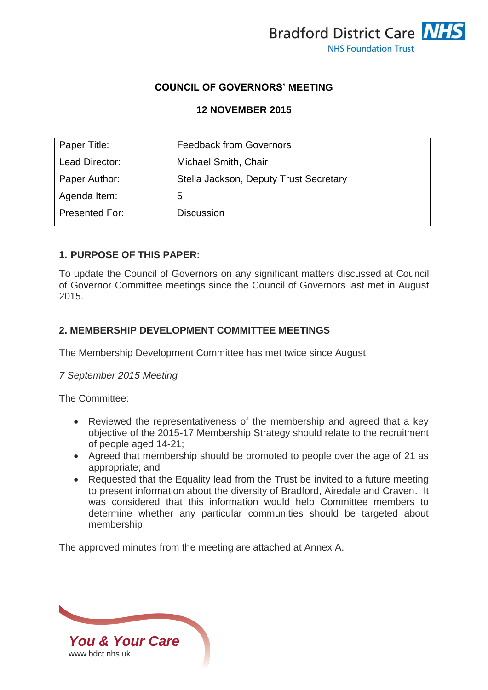

# **COUNCIL OF GOVERNORS' MEETING**

# **12 NOVEMBER 2015**

| Paper Title:   | <b>Feedback from Governors</b>         |
|----------------|----------------------------------------|
| Lead Director: | Michael Smith, Chair                   |
| Paper Author:  | Stella Jackson, Deputy Trust Secretary |
| Agenda Item:   | 5                                      |
| Presented For: | Discussion                             |
|                |                                        |

## **1. PURPOSE OF THIS PAPER:**

To update the Council of Governors on any significant matters discussed at Council of Governor Committee meetings since the Council of Governors last met in August 2015.

## **2. MEMBERSHIP DEVELOPMENT COMMITTEE MEETINGS**

The Membership Development Committee has met twice since August:

### *7 September 2015 Meeting*

The Committee:

- Reviewed the representativeness of the membership and agreed that a key objective of the 2015-17 Membership Strategy should relate to the recruitment of people aged 14-21;
- Agreed that membership should be promoted to people over the age of 21 as appropriate; and
- Requested that the Equality lead from the Trust be invited to a future meeting to present information about the diversity of Bradford, Airedale and Craven. It was considered that this information would help Committee members to determine whether any particular communities should be targeted about membership.

The approved minutes from the meeting are attached at Annex A.

*You & Your Care* [www.bdct.nhs.uk](http://www.bdct.nhs.uk/)